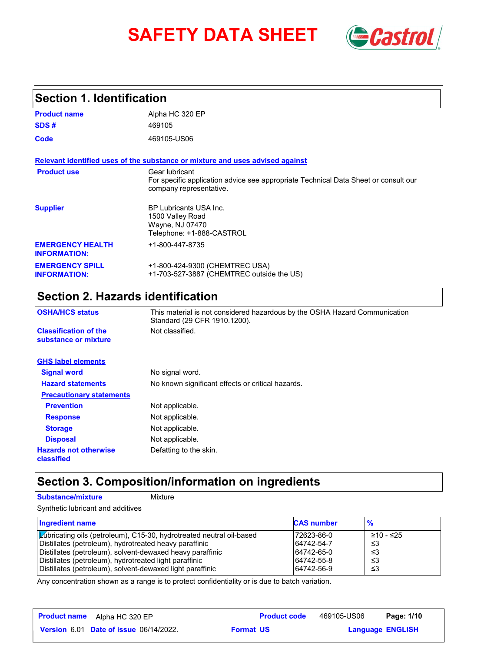# **SAFETY DATA SHEET** *Castrol*



## **Section 1. Identification**

| <b>Product name</b>                            | Alpha HC 320 EP                                                                                                                  |
|------------------------------------------------|----------------------------------------------------------------------------------------------------------------------------------|
| SDS#                                           | 469105                                                                                                                           |
| Code                                           | 469105-US06                                                                                                                      |
|                                                | Relevant identified uses of the substance or mixture and uses advised against                                                    |
| <b>Product use</b>                             | Gear lubricant<br>For specific application advice see appropriate Technical Data Sheet or consult our<br>company representative. |
| <b>Supplier</b>                                | <b>BP Lubricants USA Inc.</b><br>1500 Valley Road<br>Wayne, NJ 07470<br>Telephone: +1-888-CASTROL                                |
| <b>EMERGENCY HEALTH</b><br><b>INFORMATION:</b> | +1-800-447-8735                                                                                                                  |
| <b>EMERGENCY SPILL</b><br><b>INFORMATION:</b>  | +1-800-424-9300 (CHEMTREC USA)<br>+1-703-527-3887 (CHEMTREC outside the US)                                                      |

## **Section 2. Hazards identification**

| <b>OSHA/HCS status</b>                               | This material is not considered hazardous by the OSHA Hazard Communication<br>Standard (29 CFR 1910.1200). |
|------------------------------------------------------|------------------------------------------------------------------------------------------------------------|
| <b>Classification of the</b><br>substance or mixture | Not classified.                                                                                            |
| <b>GHS label elements</b>                            |                                                                                                            |
| <b>Signal word</b>                                   | No signal word.                                                                                            |
| <b>Hazard statements</b>                             | No known significant effects or critical hazards.                                                          |
| <b>Precautionary statements</b>                      |                                                                                                            |
| <b>Prevention</b>                                    | Not applicable.                                                                                            |
| <b>Response</b>                                      | Not applicable.                                                                                            |
| <b>Storage</b>                                       | Not applicable.                                                                                            |
| <b>Disposal</b>                                      | Not applicable.                                                                                            |
| <b>Hazards not otherwise</b><br>classified           | Defatting to the skin.                                                                                     |

## **Section 3. Composition/information on ingredients**

#### **Substance/mixture Mixture**

Synthetic lubricant and additives

| Ingredient name                                                             | <b>CAS number</b> | $\frac{9}{6}$ |
|-----------------------------------------------------------------------------|-------------------|---------------|
| <b>Zubricating oils (petroleum), C15-30, hydrotreated neutral oil-based</b> | 72623-86-0        | ≥10 - ≤25     |
| Distillates (petroleum), hydrotreated heavy paraffinic                      | 64742-54-7        | -≤3           |
| Distillates (petroleum), solvent-dewaxed heavy paraffinic                   | 64742-65-0        | -≤3           |
| Distillates (petroleum), hydrotreated light paraffinic                      | 64742-55-8        | -≤3           |
| Distillates (petroleum), solvent-dewaxed light paraffinic                   | 64742-56-9        | ≤3            |

Any concentration shown as a range is to protect confidentiality or is due to batch variation.

| <b>Product name</b><br>Alpha HC 320 EP        | <b>Product code</b> | 469105-US06 | Page: 1/10              |
|-----------------------------------------------|---------------------|-------------|-------------------------|
| <b>Version 6.01 Date of issue 06/14/2022.</b> | <b>Format US</b>    |             | <b>Language ENGLISH</b> |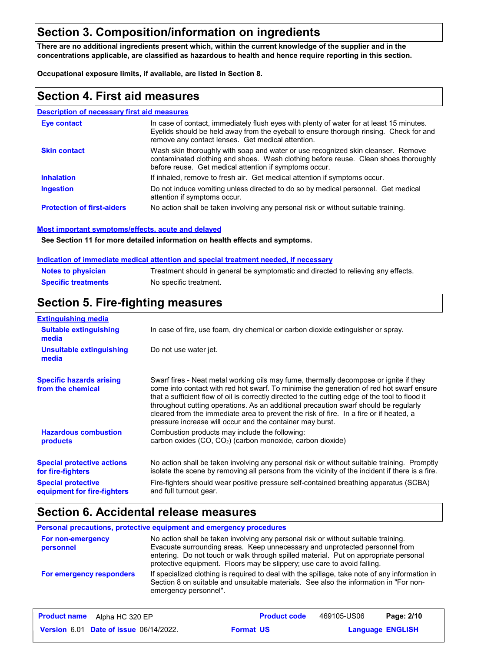## **Section 3. Composition/information on ingredients**

**There are no additional ingredients present which, within the current knowledge of the supplier and in the concentrations applicable, are classified as hazardous to health and hence require reporting in this section.**

**Occupational exposure limits, if available, are listed in Section 8.**

## **Section 4. First aid measures**

#### **Description of necessary first aid measures**

| <b>Eve contact</b>                | In case of contact, immediately flush eyes with plenty of water for at least 15 minutes.<br>Eyelids should be held away from the eyeball to ensure thorough rinsing. Check for and<br>remove any contact lenses. Get medical attention. |
|-----------------------------------|-----------------------------------------------------------------------------------------------------------------------------------------------------------------------------------------------------------------------------------------|
| <b>Skin contact</b>               | Wash skin thoroughly with soap and water or use recognized skin cleanser. Remove<br>contaminated clothing and shoes. Wash clothing before reuse. Clean shoes thoroughly<br>before reuse. Get medical attention if symptoms occur.       |
| <b>Inhalation</b>                 | If inhaled, remove to fresh air. Get medical attention if symptoms occur.                                                                                                                                                               |
| <b>Ingestion</b>                  | Do not induce vomiting unless directed to do so by medical personnel. Get medical<br>attention if symptoms occur.                                                                                                                       |
| <b>Protection of first-aiders</b> | No action shall be taken involving any personal risk or without suitable training.                                                                                                                                                      |

#### **Most important symptoms/effects, acute and delayed**

**See Section 11 for more detailed information on health effects and symptoms.**

#### **Indication of immediate medical attention and special treatment needed, if necessary**

| <b>Notes to physician</b>  | Treatment should in general be symptomatic and directed to relieving any effects. |
|----------------------------|-----------------------------------------------------------------------------------|
| <b>Specific treatments</b> | No specific treatment.                                                            |

## **Section 5. Fire-fighting measures**

| <b>Extinguishing media</b>                               |                                                                                                                                                                                                                                                                                                                                                                                                                                                                                                                                     |  |  |
|----------------------------------------------------------|-------------------------------------------------------------------------------------------------------------------------------------------------------------------------------------------------------------------------------------------------------------------------------------------------------------------------------------------------------------------------------------------------------------------------------------------------------------------------------------------------------------------------------------|--|--|
| <b>Suitable extinguishing</b><br>media                   | In case of fire, use foam, dry chemical or carbon dioxide extinguisher or spray.                                                                                                                                                                                                                                                                                                                                                                                                                                                    |  |  |
| <b>Unsuitable extinguishing</b><br>media                 | Do not use water jet.                                                                                                                                                                                                                                                                                                                                                                                                                                                                                                               |  |  |
| <b>Specific hazards arising</b><br>from the chemical     | Swarf fires - Neat metal working oils may fume, thermally decompose or ignite if they<br>come into contact with red hot swarf. To minimise the generation of red hot swarf ensure<br>that a sufficient flow of oil is correctly directed to the cutting edge of the tool to flood it<br>throughout cutting operations. As an additional precaution swarf should be regularly<br>cleared from the immediate area to prevent the risk of fire. In a fire or if heated, a<br>pressure increase will occur and the container may burst. |  |  |
| <b>Hazardous combustion</b><br><b>products</b>           | Combustion products may include the following:<br>carbon oxides $(CO, CO2)$ (carbon monoxide, carbon dioxide)                                                                                                                                                                                                                                                                                                                                                                                                                       |  |  |
| <b>Special protective actions</b><br>for fire-fighters   | No action shall be taken involving any personal risk or without suitable training. Promptly<br>isolate the scene by removing all persons from the vicinity of the incident if there is a fire.                                                                                                                                                                                                                                                                                                                                      |  |  |
| <b>Special protective</b><br>equipment for fire-fighters | Fire-fighters should wear positive pressure self-contained breathing apparatus (SCBA)<br>and full turnout gear.                                                                                                                                                                                                                                                                                                                                                                                                                     |  |  |

## **Section 6. Accidental release measures**

#### **Personal precautions, protective equipment and emergency procedures**

| For non-emergency<br>personnel | No action shall be taken involving any personal risk or without suitable training.<br>Evacuate surrounding areas. Keep unnecessary and unprotected personnel from<br>entering. Do not touch or walk through spilled material. Put on appropriate personal<br>protective equipment. Floors may be slippery; use care to avoid falling. |
|--------------------------------|---------------------------------------------------------------------------------------------------------------------------------------------------------------------------------------------------------------------------------------------------------------------------------------------------------------------------------------|
| For emergency responders       | If specialized clothing is required to deal with the spillage, take note of any information in<br>Section 8 on suitable and unsuitable materials. See also the information in "For non-<br>emergency personnel".                                                                                                                      |

| <b>Product name</b><br>Alpha HC 320 EP        | <b>Product code</b> | 469105-US06 | Page: 2/10              |
|-----------------------------------------------|---------------------|-------------|-------------------------|
| <b>Version 6.01 Date of issue 06/14/2022.</b> | <b>Format US</b>    |             | <b>Language ENGLISH</b> |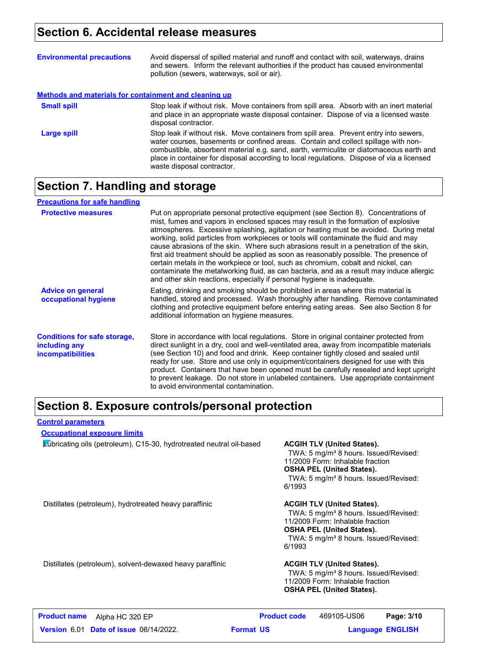## **Section 6. Accidental release measures**

| <b>Environmental precautions</b>                      | Avoid dispersal of spilled material and runoff and contact with soil, waterways, drains<br>and sewers. Inform the relevant authorities if the product has caused environmental<br>pollution (sewers, waterways, soil or air).                                                                                                                                                                      |
|-------------------------------------------------------|----------------------------------------------------------------------------------------------------------------------------------------------------------------------------------------------------------------------------------------------------------------------------------------------------------------------------------------------------------------------------------------------------|
| Methods and materials for containment and cleaning up |                                                                                                                                                                                                                                                                                                                                                                                                    |
| <b>Small spill</b>                                    | Stop leak if without risk. Move containers from spill area. Absorb with an inert material<br>and place in an appropriate waste disposal container. Dispose of via a licensed waste<br>disposal contractor.                                                                                                                                                                                         |
| Large spill                                           | Stop leak if without risk. Move containers from spill area. Prevent entry into sewers,<br>water courses, basements or confined areas. Contain and collect spillage with non-<br>combustible, absorbent material e.g. sand, earth, vermiculite or diatomaceous earth and<br>place in container for disposal according to local regulations. Dispose of via a licensed<br>waste disposal contractor. |

## **Section 7. Handling and storage**

| <b>Precautions for safe handling</b>                                             |                                                                                                                                                                                                                                                                                                                                                                                                                                                                                                                                                                                                                                                                                                                                                                                                          |
|----------------------------------------------------------------------------------|----------------------------------------------------------------------------------------------------------------------------------------------------------------------------------------------------------------------------------------------------------------------------------------------------------------------------------------------------------------------------------------------------------------------------------------------------------------------------------------------------------------------------------------------------------------------------------------------------------------------------------------------------------------------------------------------------------------------------------------------------------------------------------------------------------|
| <b>Protective measures</b>                                                       | Put on appropriate personal protective equipment (see Section 8). Concentrations of<br>mist, fumes and vapors in enclosed spaces may result in the formation of explosive<br>atmospheres. Excessive splashing, agitation or heating must be avoided. During metal<br>working, solid particles from workpieces or tools will contaminate the fluid and may<br>cause abrasions of the skin. Where such abrasions result in a penetration of the skin,<br>first aid treatment should be applied as soon as reasonably possible. The presence of<br>certain metals in the workpiece or tool, such as chromium, cobalt and nickel, can<br>contaminate the metalworking fluid, as can bacteria, and as a result may induce allergic<br>and other skin reactions, especially if personal hygiene is inadequate. |
| <b>Advice on general</b><br>occupational hygiene                                 | Eating, drinking and smoking should be prohibited in areas where this material is<br>handled, stored and processed. Wash thoroughly after handling. Remove contaminated<br>clothing and protective equipment before entering eating areas. See also Section 8 for<br>additional information on hygiene measures.                                                                                                                                                                                                                                                                                                                                                                                                                                                                                         |
| <b>Conditions for safe storage,</b><br>including any<br><i>incompatibilities</i> | Store in accordance with local regulations. Store in original container protected from<br>direct sunlight in a dry, cool and well-ventilated area, away from incompatible materials<br>(see Section 10) and food and drink. Keep container tightly closed and sealed until<br>ready for use. Store and use only in equipment/containers designed for use with this<br>product. Containers that have been opened must be carefully resealed and kept upright<br>to prevent leakage. Do not store in unlabeled containers. Use appropriate containment<br>to avoid environmental contamination.                                                                                                                                                                                                            |

## **Section 8. Exposure controls/personal protection**

#### **Control parameters**

#### **Occupational exposure limits**

Lubricating oils (petroleum), C15-30, hydrotreated neutral oil-based **ACGIH TLV (United States).**

TWA: 5 mg/m<sup>3</sup> 8 hours. Issued/Revised: 11/2009 Form: Inhalable fraction **OSHA PEL (United States).**

TWA: 5 mg/m<sup>3</sup> 8 hours. Issued/Revised: 6/1993

Distillates (petroleum), hydrotreated heavy paraffinic **ACGIH TLV (United States).**

TWA: 5 mg/m<sup>3</sup> 8 hours. Issued/Revised: 11/2009 Form: Inhalable fraction **OSHA PEL (United States).** TWA: 5 mg/m<sup>3</sup> 8 hours. Issued/Revised: 6/1993

Distillates (petroleum), solvent-dewaxed heavy paraffinic **ACGIH TLV (United States).**

TWA: 5 mg/m<sup>3</sup> 8 hours. Issued/Revised: 11/2009 Form: Inhalable fraction **OSHA PEL (United States).**

| <b>Product name</b><br>Alpha HC 320 EP        | <b>Product code</b> | 469105-US06 | Page: 3/10              |  |
|-----------------------------------------------|---------------------|-------------|-------------------------|--|
| <b>Version 6.01 Date of issue 06/14/2022.</b> | <b>Format US</b>    |             | <b>Language ENGLISH</b> |  |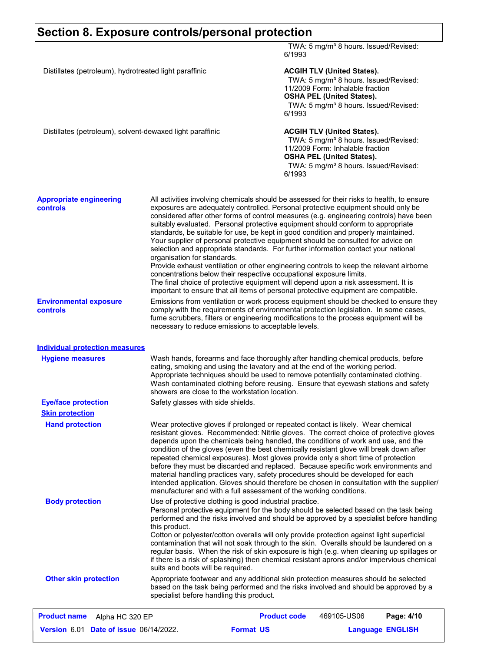## **Section 8. Exposure controls/personal protection**

|                                                           |                                                                                                                                                                                                                                                                                                                                                                                                                                                                                                                                                                                                                                                                                                                                                                                                                                                                                                                                                                                                            | 6/1993                                                                                                                                                                                                              | TWA: 5 mg/m <sup>3</sup> 8 hours. Issued/Revised:                                                                                                                                                                   |            |
|-----------------------------------------------------------|------------------------------------------------------------------------------------------------------------------------------------------------------------------------------------------------------------------------------------------------------------------------------------------------------------------------------------------------------------------------------------------------------------------------------------------------------------------------------------------------------------------------------------------------------------------------------------------------------------------------------------------------------------------------------------------------------------------------------------------------------------------------------------------------------------------------------------------------------------------------------------------------------------------------------------------------------------------------------------------------------------|---------------------------------------------------------------------------------------------------------------------------------------------------------------------------------------------------------------------|---------------------------------------------------------------------------------------------------------------------------------------------------------------------------------------------------------------------|------------|
| Distillates (petroleum), hydrotreated light paraffinic    | 6/1993                                                                                                                                                                                                                                                                                                                                                                                                                                                                                                                                                                                                                                                                                                                                                                                                                                                                                                                                                                                                     | <b>ACGIH TLV (United States).</b><br>TWA: 5 mg/m <sup>3</sup> 8 hours. Issued/Revised:<br>11/2009 Form: Inhalable fraction<br><b>OSHA PEL (United States).</b><br>TWA: 5 mg/m <sup>3</sup> 8 hours. Issued/Revised: |                                                                                                                                                                                                                     |            |
| Distillates (petroleum), solvent-dewaxed light paraffinic |                                                                                                                                                                                                                                                                                                                                                                                                                                                                                                                                                                                                                                                                                                                                                                                                                                                                                                                                                                                                            | 6/1993                                                                                                                                                                                                              | <b>ACGIH TLV (United States).</b><br>TWA: 5 mg/m <sup>3</sup> 8 hours. Issued/Revised:<br>11/2009 Form: Inhalable fraction<br><b>OSHA PEL (United States).</b><br>TWA: 5 mg/m <sup>3</sup> 8 hours. Issued/Revised: |            |
| <b>Appropriate engineering</b><br><b>controls</b>         | All activities involving chemicals should be assessed for their risks to health, to ensure<br>exposures are adequately controlled. Personal protective equipment should only be<br>considered after other forms of control measures (e.g. engineering controls) have been<br>suitably evaluated. Personal protective equipment should conform to appropriate<br>standards, be suitable for use, be kept in good condition and properly maintained.<br>Your supplier of personal protective equipment should be consulted for advice on<br>selection and appropriate standards. For further information contact your national<br>organisation for standards.<br>Provide exhaust ventilation or other engineering controls to keep the relevant airborne<br>concentrations below their respective occupational exposure limits.<br>The final choice of protective equipment will depend upon a risk assessment. It is<br>important to ensure that all items of personal protective equipment are compatible. |                                                                                                                                                                                                                     |                                                                                                                                                                                                                     |            |
| <b>Environmental exposure</b><br>controls                 | Emissions from ventilation or work process equipment should be checked to ensure they<br>comply with the requirements of environmental protection legislation. In some cases,<br>fume scrubbers, filters or engineering modifications to the process equipment will be<br>necessary to reduce emissions to acceptable levels.                                                                                                                                                                                                                                                                                                                                                                                                                                                                                                                                                                                                                                                                              |                                                                                                                                                                                                                     |                                                                                                                                                                                                                     |            |
| <b>Individual protection measures</b>                     |                                                                                                                                                                                                                                                                                                                                                                                                                                                                                                                                                                                                                                                                                                                                                                                                                                                                                                                                                                                                            |                                                                                                                                                                                                                     |                                                                                                                                                                                                                     |            |
| <b>Hygiene measures</b>                                   | Wash hands, forearms and face thoroughly after handling chemical products, before<br>eating, smoking and using the lavatory and at the end of the working period.<br>Appropriate techniques should be used to remove potentially contaminated clothing.<br>Wash contaminated clothing before reusing. Ensure that eyewash stations and safety<br>showers are close to the workstation location.                                                                                                                                                                                                                                                                                                                                                                                                                                                                                                                                                                                                            |                                                                                                                                                                                                                     |                                                                                                                                                                                                                     |            |
| <b>Eye/face protection</b>                                | Safety glasses with side shields.                                                                                                                                                                                                                                                                                                                                                                                                                                                                                                                                                                                                                                                                                                                                                                                                                                                                                                                                                                          |                                                                                                                                                                                                                     |                                                                                                                                                                                                                     |            |
| <b>Skin protection</b><br><b>Hand protection</b>          | Wear protective gloves if prolonged or repeated contact is likely. Wear chemical<br>resistant gloves. Recommended: Nitrile gloves. The correct choice of protective gloves<br>depends upon the chemicals being handled, the conditions of work and use, and the<br>condition of the gloves (even the best chemically resistant glove will break down after<br>repeated chemical exposures). Most gloves provide only a short time of protection<br>before they must be discarded and replaced. Because specific work environments and<br>material handling practices vary, safety procedures should be developed for each<br>intended application. Gloves should therefore be chosen in consultation with the supplier/<br>manufacturer and with a full assessment of the working conditions.                                                                                                                                                                                                              |                                                                                                                                                                                                                     |                                                                                                                                                                                                                     |            |
| <b>Body protection</b>                                    | Use of protective clothing is good industrial practice.<br>Personal protective equipment for the body should be selected based on the task being<br>performed and the risks involved and should be approved by a specialist before handling<br>this product.<br>Cotton or polyester/cotton overalls will only provide protection against light superficial<br>contamination that will not soak through to the skin. Overalls should be laundered on a<br>regular basis. When the risk of skin exposure is high (e.g. when cleaning up spillages or<br>if there is a risk of splashing) then chemical resistant aprons and/or impervious chemical<br>suits and boots will be required.                                                                                                                                                                                                                                                                                                                      |                                                                                                                                                                                                                     |                                                                                                                                                                                                                     |            |
| <b>Other skin protection</b>                              | Appropriate footwear and any additional skin protection measures should be selected<br>based on the task being performed and the risks involved and should be approved by a<br>specialist before handling this product.                                                                                                                                                                                                                                                                                                                                                                                                                                                                                                                                                                                                                                                                                                                                                                                    |                                                                                                                                                                                                                     |                                                                                                                                                                                                                     |            |
| <b>Product name</b><br>Alpha HC 320 EP                    |                                                                                                                                                                                                                                                                                                                                                                                                                                                                                                                                                                                                                                                                                                                                                                                                                                                                                                                                                                                                            | <b>Product code</b>                                                                                                                                                                                                 | 469105-US06                                                                                                                                                                                                         | Page: 4/10 |

| <b>Version 6.01 Date of issue 06/14/2022.</b> | <b>Format US</b> | <b>Language ENGLISH</b> |
|-----------------------------------------------|------------------|-------------------------|
|                                               |                  |                         |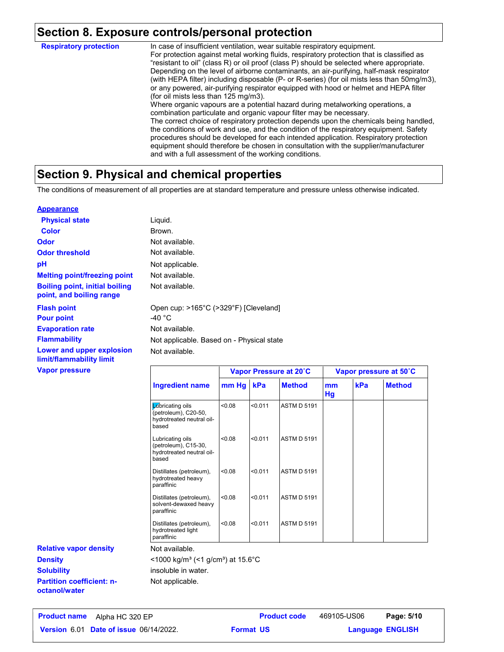## **Section 8. Exposure controls/personal protection**

In case of insufficient ventilation, wear suitable respiratory equipment. For protection against metal working fluids, respiratory protection that is classified as "resistant to oil" (class R) or oil proof (class P) should be selected where appropriate. Depending on the level of airborne contaminants, an air-purifying, half-mask respirator (with HEPA filter) including disposable (P- or R-series) (for oil mists less than 50mg/m3), or any powered, air-purifying respirator equipped with hood or helmet and HEPA filter (for oil mists less than 125 mg/m3). Where organic vapours are a potential hazard during metalworking operations, a combination particulate and organic vapour filter may be necessary. The correct choice of respiratory protection depends upon the chemicals being handled, the conditions of work and use, and the condition of the respiratory equipment. Safety procedures should be developed for each intended application. Respiratory protection equipment should therefore be chosen in consultation with the supplier/manufacturer and with a full assessment of the working conditions. **Respiratory protection**

## **Section 9. Physical and chemical properties**

The conditions of measurement of all properties are at standard temperature and pressure unless otherwise indicated.

#### **Appearance**

| <b>Physical state</b>                                             | Liquid.                                                   |                        |
|-------------------------------------------------------------------|-----------------------------------------------------------|------------------------|
| <b>Color</b>                                                      | Brown.                                                    |                        |
| <b>Odor</b>                                                       | Not available.                                            |                        |
| <b>Odor threshold</b>                                             | Not available.                                            |                        |
| рH                                                                | Not applicable.                                           |                        |
| <b>Melting point/freezing point</b>                               | Not available.                                            |                        |
| <b>Boiling point, initial boiling</b><br>point, and boiling range | Not available.                                            |                        |
| <b>Flash point</b><br><b>Pour point</b>                           | Open cup: >165°C (>329°F) [Cleveland]<br>-40 $^{\circ}$ C |                        |
| <b>Evaporation rate</b>                                           | Not available.                                            |                        |
| <b>Flammability</b>                                               | Not applicable. Based on - Physical state                 |                        |
| Lower and upper explosion<br>limit/flammability limit             | Not available.                                            |                        |
| <b>Vapor pressure</b>                                             |                                                           | Vanor Pressure at 20°C |

|                                                                                | Vapor Pressure at 20°C |         | Vapor pressure at 50°C |          |     |               |
|--------------------------------------------------------------------------------|------------------------|---------|------------------------|----------|-----|---------------|
| Ingredient name                                                                | mm Hg                  | kPa     | <b>Method</b>          | mm<br>Hg | kPa | <b>Method</b> |
| Lubricating oils<br>(petroleum), C20-50,<br>hydrotreated neutral oil-<br>based | 0.08                   | < 0.011 | <b>ASTM D 5191</b>     |          |     |               |
| Lubricating oils<br>(petroleum), C15-30,<br>hydrotreated neutral oil-<br>based | < 0.08                 | < 0.011 | <b>ASTM D 5191</b>     |          |     |               |
| Distillates (petroleum),<br>hydrotreated heavy<br>paraffinic                   | < 0.08                 | < 0.011 | <b>ASTM D 5191</b>     |          |     |               |
| Distillates (petroleum),<br>solvent-dewaxed heavy<br>paraffinic                | < 0.08                 | < 0.011 | <b>ASTM D 5191</b>     |          |     |               |
| Distillates (petroleum),<br>hydrotreated light<br>paraffinic                   | < 0.08                 | < 0.011 | <b>ASTM D 5191</b>     |          |     |               |

Not available.

 $<$ 1000 kg/m<sup>3</sup> (<1 g/cm<sup>3</sup>) at 15.6°C

insoluble in water.

Not applicable.

**Partition coefficient: noctanol/water Density Solubility**

**Relative vapor density**

**Date of issue** 06/14/2022. **Proportive State Constrainer Format US and Language ENGLIS Product name** Alpha HC 320 EP **Product code** 469105-US06 **Page: 5/10** |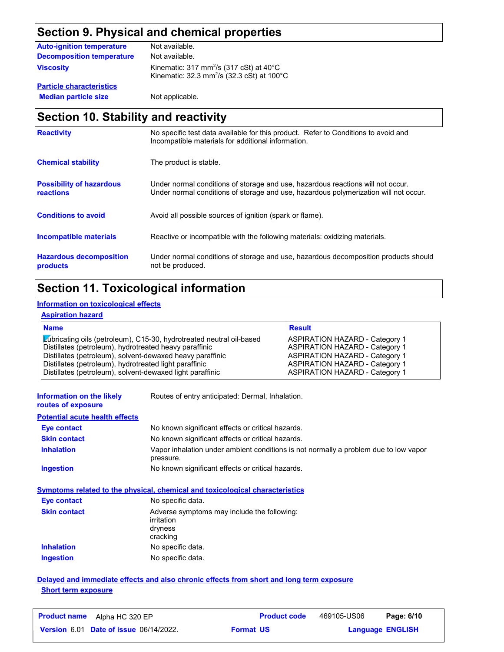## **Section 9. Physical and chemical properties**

| <b>Auto-ignition temperature</b> | Not available.                                                                                                                     |
|----------------------------------|------------------------------------------------------------------------------------------------------------------------------------|
| <b>Decomposition temperature</b> | Not available.                                                                                                                     |
| <b>Viscosity</b>                 | Kinematic: $317 \text{ mm}^2/\text{s}$ (317 cSt) at 40°C<br>Kinematic: $32.3 \text{ mm}^2/\text{s}$ (32.3 cSt) at 100 $^{\circ}$ C |

**Particle characteristics Median particle size** Not applicable.

## **Section 10. Stability and reactivity**

| <b>Reactivity</b>                            | No specific test data available for this product. Refer to Conditions to avoid and<br>Incompatible materials for additional information.                                |
|----------------------------------------------|-------------------------------------------------------------------------------------------------------------------------------------------------------------------------|
| <b>Chemical stability</b>                    | The product is stable.                                                                                                                                                  |
| <b>Possibility of hazardous</b><br>reactions | Under normal conditions of storage and use, hazardous reactions will not occur.<br>Under normal conditions of storage and use, hazardous polymerization will not occur. |
| <b>Conditions to avoid</b>                   | Avoid all possible sources of ignition (spark or flame).                                                                                                                |
| Incompatible materials                       | Reactive or incompatible with the following materials: oxidizing materials.                                                                                             |
| <b>Hazardous decomposition</b><br>products   | Under normal conditions of storage and use, hazardous decomposition products should<br>not be produced.                                                                 |

## **Section 11. Toxicological information**

### **Information on toxicological effects**

#### **Aspiration hazard**

| <b>Name</b>                                                                                                                                                                                                                                           | <b>Result</b>                                                                                                                                             |
|-------------------------------------------------------------------------------------------------------------------------------------------------------------------------------------------------------------------------------------------------------|-----------------------------------------------------------------------------------------------------------------------------------------------------------|
| Lúbricating oils (petroleum), C15-30, hydrotreated neutral oil-based<br>Distillates (petroleum), hydrotreated heavy paraffinic<br>Distillates (petroleum), solvent-dewaxed heavy paraffinic<br>Distillates (petroleum), hydrotreated light paraffinic | <b>ASPIRATION HAZARD - Category 1</b><br><b>ASPIRATION HAZARD - Category 1</b><br><b>ASPIRATION HAZARD - Category 1</b><br>ASPIRATION HAZARD - Category 1 |
| Distillates (petroleum), solvent-dewaxed light paraffinic                                                                                                                                                                                             | ASPIRATION HAZARD - Category 1                                                                                                                            |

| Information on the likely |  |  |
|---------------------------|--|--|
| routes of exposure        |  |  |

Routes of entry anticipated: Dermal, Inhalation.

#### **Potential acute health effects**

| <b>Eve contact</b>  | No known significant effects or critical hazards.                                                 |
|---------------------|---------------------------------------------------------------------------------------------------|
| <b>Skin contact</b> | No known significant effects or critical hazards.                                                 |
| <b>Inhalation</b>   | Vapor inhalation under ambient conditions is not normally a problem due to low vapor<br>pressure. |
| Ingestion           | No known significant effects or critical hazards.                                                 |

#### **Symptoms related to the physical, chemical and toxicological characteristics**

| <b>Eye contact</b>  | No specific data.                                                                |
|---------------------|----------------------------------------------------------------------------------|
| <b>Skin contact</b> | Adverse symptoms may include the following:<br>irritation<br>dryness<br>cracking |
| <b>Inhalation</b>   | No specific data.                                                                |
| <b>Ingestion</b>    | No specific data.                                                                |

#### **Delayed and immediate effects and also chronic effects from short and long term exposure Short term exposure**

| <b>Product name</b><br>Alpha HC 320 EP        | <b>Product code</b> | 469105-US06 | Page: 6/10              |
|-----------------------------------------------|---------------------|-------------|-------------------------|
| <b>Version 6.01 Date of issue 06/14/2022.</b> | <b>Format US</b>    |             | <b>Language ENGLISH</b> |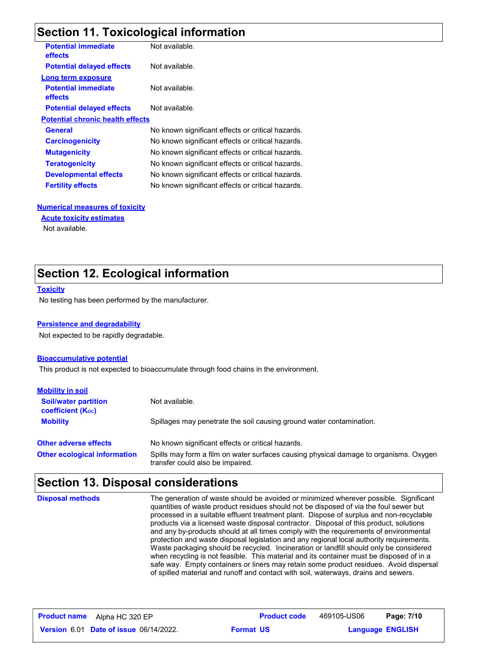## **Section 11. Toxicological information**

| <b>Potential immediate</b><br><b>effects</b> | Not available.                                    |
|----------------------------------------------|---------------------------------------------------|
| <b>Potential delayed effects</b>             | Not available.                                    |
| Long term exposure                           |                                                   |
| <b>Potential immediate</b><br>effects        | Not available.                                    |
| <b>Potential delayed effects</b>             | Not available.                                    |
| <b>Potential chronic health effects</b>      |                                                   |
| <b>General</b>                               | No known significant effects or critical hazards. |
| <b>Carcinogenicity</b>                       | No known significant effects or critical hazards. |
| <b>Mutagenicity</b>                          | No known significant effects or critical hazards. |
| <b>Teratogenicity</b>                        | No known significant effects or critical hazards. |
| <b>Developmental effects</b>                 | No known significant effects or critical hazards. |
| <b>Fertility effects</b>                     | No known significant effects or critical hazards. |
|                                              |                                                   |

#### **Numerical measures of toxicity**

#### **Acute toxicity estimates**

Not available.

## **Section 12. Ecological information**

#### **Toxicity**

No testing has been performed by the manufacturer.

#### **Persistence and degradability**

Not expected to be rapidly degradable.

#### **Bioaccumulative potential**

This product is not expected to bioaccumulate through food chains in the environment.

| <b>Mobility in soil</b>                                 |                                                                                                                           |
|---------------------------------------------------------|---------------------------------------------------------------------------------------------------------------------------|
| <b>Soil/water partition</b><br><b>coefficient (Koc)</b> | Not available.                                                                                                            |
| <b>Mobility</b>                                         | Spillages may penetrate the soil causing ground water contamination.                                                      |
| <b>Other adverse effects</b>                            | No known significant effects or critical hazards.                                                                         |
| <b>Other ecological information</b>                     | Spills may form a film on water surfaces causing physical damage to organisms. Oxygen<br>transfer could also be impaired. |

### **Section 13. Disposal considerations**

The generation of waste should be avoided or minimized wherever possible. Significant quantities of waste product residues should not be disposed of via the foul sewer but processed in a suitable effluent treatment plant. Dispose of surplus and non-recyclable products via a licensed waste disposal contractor. Disposal of this product, solutions and any by-products should at all times comply with the requirements of environmental protection and waste disposal legislation and any regional local authority requirements. Waste packaging should be recycled. Incineration or landfill should only be considered when recycling is not feasible. This material and its container must be disposed of in a safe way. Empty containers or liners may retain some product residues. Avoid dispersal of spilled material and runoff and contact with soil, waterways, drains and sewers. **Disposal methods**

| <b>Product name</b> | Alpha HC 320 EP                               |                  | <b>Product code</b> | 469105-US06             | Page: 7/10 |  |
|---------------------|-----------------------------------------------|------------------|---------------------|-------------------------|------------|--|
|                     | <b>Version 6.01 Date of issue 06/14/2022.</b> | <b>Format US</b> |                     | <b>Language ENGLISH</b> |            |  |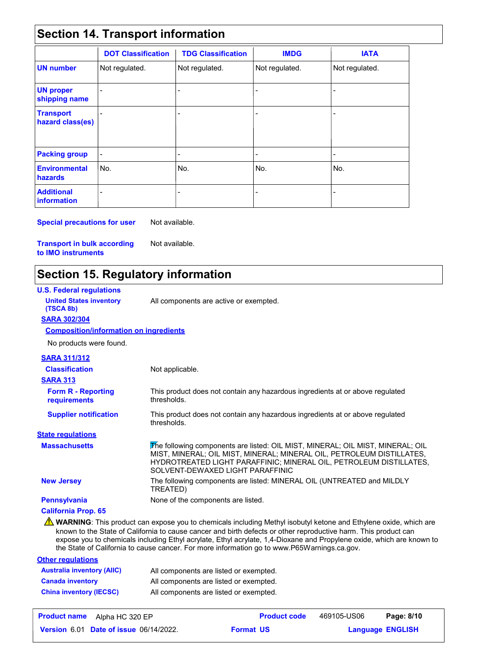## **Section 14. Transport information**

|                                         | <b>DOT Classification</b> | <b>TDG Classification</b> | <b>IMDG</b>    | <b>IATA</b>    |
|-----------------------------------------|---------------------------|---------------------------|----------------|----------------|
| <b>UN number</b>                        | Not regulated.            | Not regulated.            | Not regulated. | Not regulated. |
| <b>UN proper</b><br>shipping name       |                           | -                         | $\overline{a}$ |                |
| <b>Transport</b><br>hazard class(es)    |                           | $\overline{a}$            | $\blacksquare$ |                |
| <b>Packing group</b>                    | $\overline{\phantom{a}}$  | -                         | $\blacksquare$ | ٠              |
| <b>Environmental</b><br>hazards         | No.                       | l No.                     | No.            | No.            |
| <b>Additional</b><br><b>information</b> |                           |                           |                |                |

**Special precautions for user** Not available.

**Transport in bulk according to IMO instruments**

# **Section 15. Regulatory information**

Not available.

| <b>U.S. Federal regulations</b>               |                                                                                                                                                                                                                                                                   |
|-----------------------------------------------|-------------------------------------------------------------------------------------------------------------------------------------------------------------------------------------------------------------------------------------------------------------------|
| <b>United States inventory</b><br>(TSCA 8b)   | All components are active or exempted.                                                                                                                                                                                                                            |
| <b>SARA 302/304</b>                           |                                                                                                                                                                                                                                                                   |
| <b>Composition/information on ingredients</b> |                                                                                                                                                                                                                                                                   |
| No products were found.                       |                                                                                                                                                                                                                                                                   |
| <b>SARA 311/312</b>                           |                                                                                                                                                                                                                                                                   |
| <b>Classification</b>                         | Not applicable.                                                                                                                                                                                                                                                   |
| <b>SARA 313</b>                               |                                                                                                                                                                                                                                                                   |
| <b>Form R - Reporting</b><br>requirements     | This product does not contain any hazardous ingredients at or above regulated<br>thresholds.                                                                                                                                                                      |
| <b>Supplier notification</b>                  | This product does not contain any hazardous ingredients at or above regulated<br>thresholds.                                                                                                                                                                      |
| <b>State regulations</b>                      |                                                                                                                                                                                                                                                                   |
| <b>Massachusetts</b>                          | The following components are listed: OIL MIST, MINERAL; OIL MIST, MINERAL; OIL<br>MIST, MINERAL; OIL MIST, MINERAL; MINERAL OIL, PETROLEUM DISTILLATES,<br>HYDROTREATED LIGHT PARAFFINIC; MINERAL OIL, PETROLEUM DISTILLATES,<br>SOLVENT-DEWAXED LIGHT PARAFFINIC |
| <b>New Jersey</b>                             | The following components are listed: MINERAL OIL (UNTREATED and MILDLY<br>TREATED)                                                                                                                                                                                |
| <b>Pennsylvania</b>                           | None of the components are listed.                                                                                                                                                                                                                                |
| <b>California Prop. 65</b>                    |                                                                                                                                                                                                                                                                   |
|                                               | <b>WARNING:</b> This product can expose you to chemicals including Methyl isobutyl ketone and Ethylene oxide, which are<br>known to the State of California to cause cancer and birth defects or other reproductive harm. This product can                        |

known to the State of California to cause cancer and birth defects or other reproductive harm. This product can expose you to chemicals including Ethyl acrylate, Ethyl acrylate, 1,4-Dioxane and Propylene oxide, which are known to the State of California to cause cancer. For more information go to www.P65Warnings.ca.gov.

| <b>Other regulations</b>          |                                        |
|-----------------------------------|----------------------------------------|
| <b>Australia inventory (AIIC)</b> | All components are listed or exempted. |
| <b>Canada inventory</b>           | All components are listed or exempted. |
| <b>China inventory (IECSC)</b>    | All components are listed or exempted. |

| <b>Product name</b><br>Alpha HC 320 EP        | <b>Product code</b> | 469105-US06 | Page: 8/10              |
|-----------------------------------------------|---------------------|-------------|-------------------------|
| <b>Version 6.01 Date of issue 06/14/2022.</b> | <b>Format US</b>    |             | <b>Language ENGLISH</b> |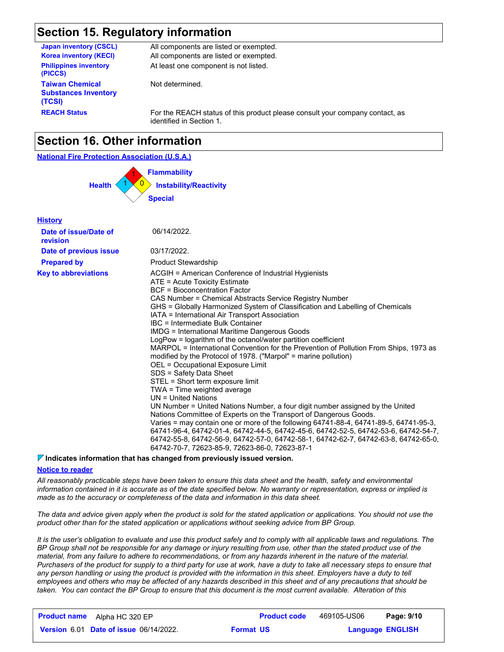## **Section 15. Regulatory information**

| <b>Japan inventory (CSCL)</b>                                   | All components are listed or exempted.                                                                   |
|-----------------------------------------------------------------|----------------------------------------------------------------------------------------------------------|
| <b>Korea inventory (KECI)</b>                                   | All components are listed or exempted.                                                                   |
| <b>Philippines inventory</b><br>(PICCS)                         | At least one component is not listed.                                                                    |
| <b>Taiwan Chemical</b><br><b>Substances Inventory</b><br>(TCSI) | Not determined.                                                                                          |
| <b>REACH Status</b>                                             | For the REACH status of this product please consult your company contact, as<br>identified in Section 1. |

## **Section 16. Other information**

#### **National Fire Protection Association (U.S.A.)**



| <b>History</b>                    |                                                                                                                                                                                                                                                                                                                                                                                                                                                                                                                                                                                                                                                                                                                                                                                                                                                                                                                                                                                                                                                                                                                                                                                                                                                                                           |
|-----------------------------------|-------------------------------------------------------------------------------------------------------------------------------------------------------------------------------------------------------------------------------------------------------------------------------------------------------------------------------------------------------------------------------------------------------------------------------------------------------------------------------------------------------------------------------------------------------------------------------------------------------------------------------------------------------------------------------------------------------------------------------------------------------------------------------------------------------------------------------------------------------------------------------------------------------------------------------------------------------------------------------------------------------------------------------------------------------------------------------------------------------------------------------------------------------------------------------------------------------------------------------------------------------------------------------------------|
| Date of issue/Date of<br>revision | 06/14/2022.                                                                                                                                                                                                                                                                                                                                                                                                                                                                                                                                                                                                                                                                                                                                                                                                                                                                                                                                                                                                                                                                                                                                                                                                                                                                               |
| Date of previous issue            | 03/17/2022.                                                                                                                                                                                                                                                                                                                                                                                                                                                                                                                                                                                                                                                                                                                                                                                                                                                                                                                                                                                                                                                                                                                                                                                                                                                                               |
| <b>Prepared by</b>                | <b>Product Stewardship</b>                                                                                                                                                                                                                                                                                                                                                                                                                                                                                                                                                                                                                                                                                                                                                                                                                                                                                                                                                                                                                                                                                                                                                                                                                                                                |
| <b>Key to abbreviations</b>       | ACGIH = American Conference of Industrial Hygienists<br>ATE = Acute Toxicity Estimate<br>BCF = Bioconcentration Factor<br>CAS Number = Chemical Abstracts Service Registry Number<br>GHS = Globally Harmonized System of Classification and Labelling of Chemicals<br>IATA = International Air Transport Association<br>IBC = Intermediate Bulk Container<br><b>IMDG = International Maritime Dangerous Goods</b><br>LogPow = logarithm of the octanol/water partition coefficient<br>MARPOL = International Convention for the Prevention of Pollution From Ships, 1973 as<br>modified by the Protocol of 1978. ("Marpol" = marine pollution)<br>OEL = Occupational Exposure Limit<br>SDS = Safety Data Sheet<br>STEL = Short term exposure limit<br>TWA = Time weighted average<br>$UN = United Nations$<br>UN Number = United Nations Number, a four digit number assigned by the United<br>Nations Committee of Experts on the Transport of Dangerous Goods.<br>Varies = may contain one or more of the following 64741-88-4, 64741-89-5, 64741-95-3,<br>64741-96-4, 64742-01-4, 64742-44-5, 64742-45-6, 64742-52-5, 64742-53-6, 64742-54-7,<br>64742-55-8, 64742-56-9, 64742-57-0, 64742-58-1, 64742-62-7, 64742-63-8, 64742-65-0,<br>64742-70-7, 72623-85-9, 72623-86-0, 72623-87-1 |

#### **Indicates information that has changed from previously issued version.**

#### **Notice to reader**

*All reasonably practicable steps have been taken to ensure this data sheet and the health, safety and environmental information contained in it is accurate as of the date specified below. No warranty or representation, express or implied is made as to the accuracy or completeness of the data and information in this data sheet.*

*The data and advice given apply when the product is sold for the stated application or applications. You should not use the product other than for the stated application or applications without seeking advice from BP Group.*

*It is the user's obligation to evaluate and use this product safely and to comply with all applicable laws and regulations. The BP Group shall not be responsible for any damage or injury resulting from use, other than the stated product use of the material, from any failure to adhere to recommendations, or from any hazards inherent in the nature of the material. Purchasers of the product for supply to a third party for use at work, have a duty to take all necessary steps to ensure that*  any person handling or using the product is provided with the information in this sheet. Employers have a duty to tell *employees and others who may be affected of any hazards described in this sheet and of any precautions that should be taken. You can contact the BP Group to ensure that this document is the most current available. Alteration of this* 

| <b>Product name</b><br>Alpha HC 320 EP        | <b>Product code</b> | 469105-US06             | Page: 9/10 |
|-----------------------------------------------|---------------------|-------------------------|------------|
| <b>Version 6.01 Date of issue 06/14/2022.</b> | <b>Format US</b>    | <b>Language ENGLISH</b> |            |